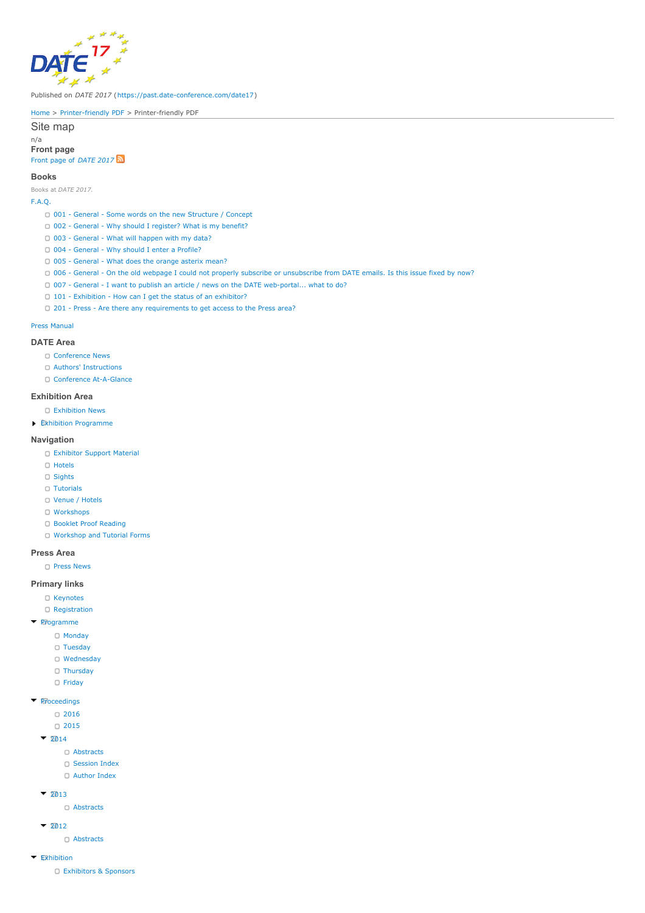

Published on *DATE 2017* (<https://past.date-conference.com/date17>)

[Home](https://past.date-conference.com/date17) > [Printer-friendly](https://past.date-conference.com/date17/printpdf) PDF > Printer-friendly PDF

Site map

n/a **Front page** Front page of *[DATE](https://past.date-conference.com/date17) 2017*

**Books**

Books at *DATE 2017*.

# [F.A.Q.](https://past.date-conference.com/date17/faq)

- 001 General Some words on the new [Structure](https://past.date-conference.com/date17/new_structure_explanation) / Concept
- 002 General Why should I [register?](https://past.date-conference.com/date17/002-general-why-should-i-register-what-my-benefit) What is my benefit?
- 003 [General](https://past.date-conference.com/date17/003-general-what-will-happen-my-data) What will happen with my data?
- 004 [General](https://past.date-conference.com/date17/004-general-why-should-i-enter-profile) Why should I enter a Profile?
- 005 [General](https://past.date-conference.com/date17/005-general-what-does-orange-asterix-mean) What does the orange asterix mean?
- 006 General On the old webpage I could not properly subscribe or [unsubscribe](https://past.date-conference.com/date17/006-general-old-webpage-i-could-not-properly-subscribe-or-unsubscribe-date-emails-issue-fixed-now) from DATE emails. Is this issue fixed by now?
- 007 General I want to publish an article / news on the DATE [web-portal...](https://past.date-conference.com/date17/007-general-i-want-publish-article-news-date-web-portal-what-do) what to do?
- 101 Exhibition How can I get the status of an [exhibitor?](https://past.date-conference.com/date17/101-exhibition-how-can-i-get-status-exhibitor)
- 201 Press Are there any [requirements](https://past.date-conference.com/date17/201-press-are-there-any-requirements-get-access-press-area) to get access to the Press area?

## Press [Manual](https://past.date-conference.com/date17/press-manual)

#### **DATE Area**

- C [Conference](https://past.date-conference.com/date17/group/date/news) News
- Authors' [Instructions](https://past.date-conference.com/date17/authors-instructions)
- Conference [At-A-Glance](https://past.date-conference.com/date17/conference/event-overview)

#### **Exhibition Area**

- [Exhibition](https://past.date-conference.com/date17/group/exhibition/news) News
- Exhibition [Programme](https://past.date-conference.com/date17/group/exhibition/programme)

#### **Navigation**

- [Exhibitor](https://past.date-conference.com/date17/group/exhibitor/support-material) Support Material
- [Hotels](https://past.date-conference.com/date17/group/date/location/hotels)
- [Sights](https://past.date-conference.com/date17/group/date/location/sights)
- [Tutorials](https://past.date-conference.com/date17/conference/monday-tutorials)
- Venue / [Hotels](https://past.date-conference.com/date17/location)
- [Workshops](https://past.date-conference.com/date17/conference/friday-workshops)
- Booklet Proof [Reading](https://past.date-conference.com/date17/booklet/proof_reading)
- [Workshop](https://past.date-conference.com/date17/conference/events) and Tutorial Forms

#### **Press Area**

**C** Press [News](https://past.date-conference.com/date17/group/press/news)

## **Primary links**

- [Keynotes](https://past.date-conference.com/date17/keynotes)
- [Registration](https://past.date-conference.com/date17/registration)
- [Programme](https://past.date-conference.com/date17/conference/event-overview)
	- - [Monday](https://past.date-conference.com/date17/conference/monday-tutorials)
		- [Tuesday](https://past.date-conference.com/date17/conference/tuesday-at-a-glance)
		- [Wednesday](https://past.date-conference.com/date17/conference/wednesday-at-a-glance)
		- [Thursday](https://past.date-conference.com/date17/conference/thursday-at-a-glance)
		- $\bullet$  [Friday](https://past.date-conference.com/date17/conference/friday-workshops)

# **[Proceedings](https://past.date-conference.com/date17/date-proceedings)**

[2016](http://www.date-conference.com/proceedings-archive/2016)

#### C [2015](http://www.date-conference.com/proceedings-archive/2015)

- $-2014$  $-2014$ 
	- [Abstracts](https://past.date-conference.com/date17/conference/proceedings/2014/abstracts)
	- [Session](https://past.date-conference.com/date17/conference/proceedings/2014/session-index) Index
	- [Author](https://past.date-conference.com/date17/conference/proceedings/2014/author-index) Index
- $-2013$  $-2013$ 
	- [Abstracts](https://past.date-conference.com/date17/conference/proceedings/2013/abstracts)
- $-2012$  $-2012$ 
	- [Abstracts](https://past.date-conference.com/date17/conference/proceedings/2012/abstracts)
- [Exhibition](https://past.date-conference.com/date17/exhibition)
	- [Exhibitors](https://past.date-conference.com/date17/industry-partners) & Sponsors